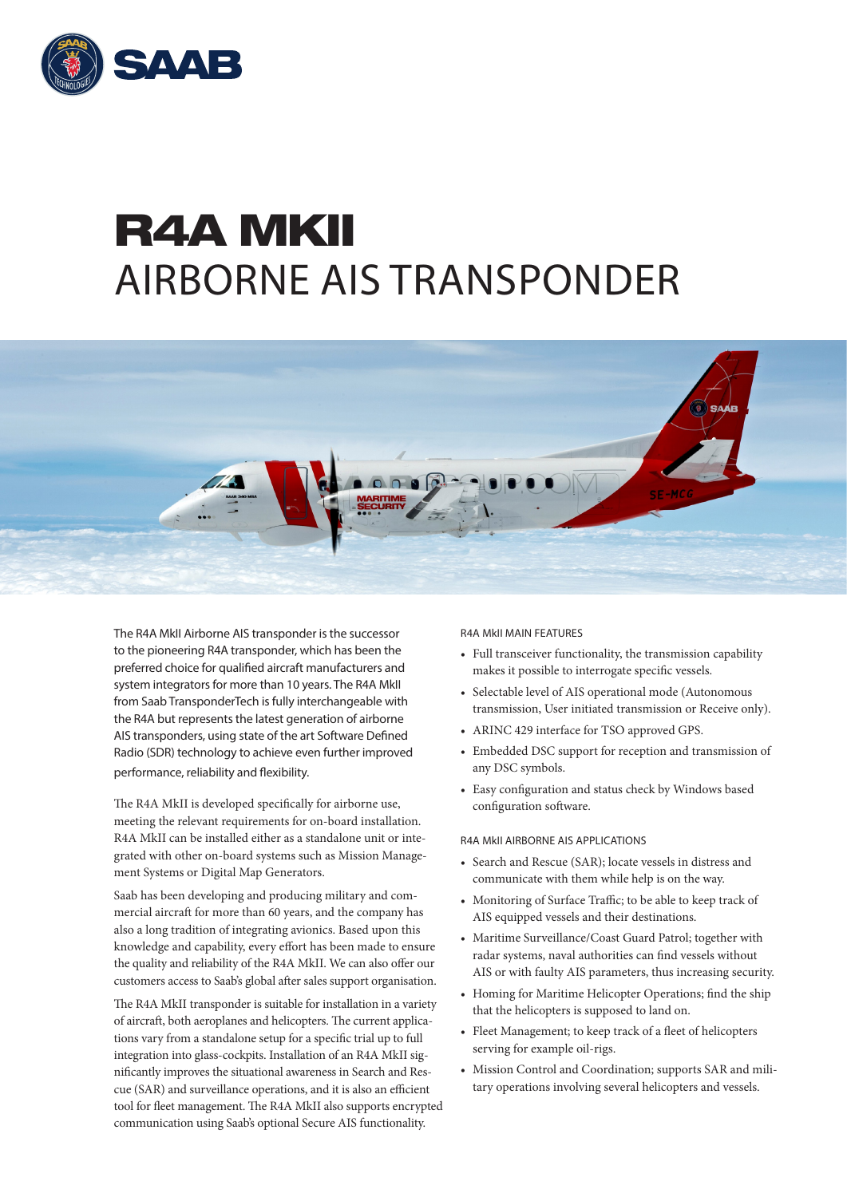

## R4A MKII AIRBORNE AIS TRANSPONDER



The R4A MkII Airborne AIS transponder is the successor to the pioneering R4A transponder, which has been the preferred choice for qualified aircraft manufacturers and system integrators for more than 10 years. The R4A MkII from Saab TransponderTech is fully interchangeable with the R4A but represents the latest generation of airborne AIS transponders, using state of the art Software Defined Radio (SDR) technology to achieve even further improved performance, reliability and flexibility.

The R4A MkII is developed specifically for airborne use, meeting the relevant requirements for on-board installation. R4A MkII can be installed either as a standalone unit or integrated with other on-board systems such as Mission Management Systems or Digital Map Generators.

Saab has been developing and producing military and commercial aircraft for more than 60 years, and the company has also a long tradition of integrating avionics. Based upon this knowledge and capability, every effort has been made to ensure the quality and reliability of the R4A MkII. We can also offer our customers access to Saab's global after sales support organisation.

The R4A MkII transponder is suitable for installation in a variety of aircraft, both aeroplanes and helicopters. The current applications vary from a standalone setup for a specific trial up to full integration into glass-cockpits. Installation of an R4A MkII significantly improves the situational awareness in Search and Rescue (SAR) and surveillance operations, and it is also an efficient tool for fleet management. The R4A MkII also supports encrypted communication using Saab's optional Secure AIS functionality.

R4A MkII MAIN FEATURES

- Full transceiver functionality, the transmission capability makes it possible to interrogate specific vessels.
- Selectable level of AIS operational mode (Autonomous transmission, User initiated transmission or Receive only).
- ARINC 429 interface for TSO approved GPS.
- Embedded DSC support for reception and transmission of any DSC symbols.
- Easy configuration and status check by Windows based configuration software.

R4A MkII AIRBORNE AIS APPLICATIONS

- Search and Rescue (SAR); locate vessels in distress and communicate with them while help is on the way.
- Monitoring of Surface Traffic; to be able to keep track of AIS equipped vessels and their destinations.
- Maritime Surveillance/Coast Guard Patrol; together with radar systems, naval authorities can find vessels without AIS or with faulty AIS parameters, thus increasing security.
- Homing for Maritime Helicopter Operations; find the ship that the helicopters is supposed to land on.
- Fleet Management; to keep track of a fleet of helicopters serving for example oil-rigs.
- Mission Control and Coordination; supports SAR and military operations involving several helicopters and vessels.